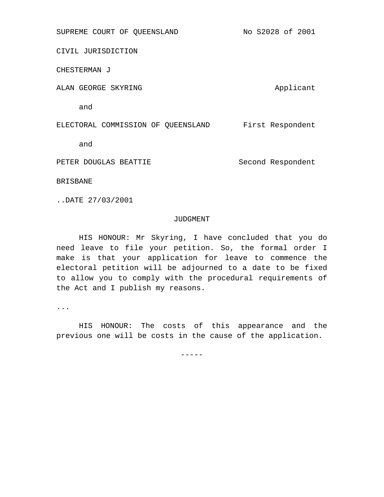CIVIL JURISDICTION

CHESTERMAN J

ALAN GEORGE SKYRING ALAN Applicant

and

ELECTORAL COMMISSION OF QUEENSLAND First Respondent

and

PETER DOUGLAS BEATTIE Second Respondent

BRISBANE

..DATE 27/03/2001

#### JUDGMENT

HIS HONOUR: Mr Skyring, I have concluded that you do need leave to file your petition. So, the formal order I make is that your application for leave to commence the electoral petition will be adjourned to a date to be fixed to allow you to comply with the procedural requirements of the Act and I publish my reasons.

...

HIS HONOUR: The costs of this appearance and the previous one will be costs in the cause of the application.

 $-----$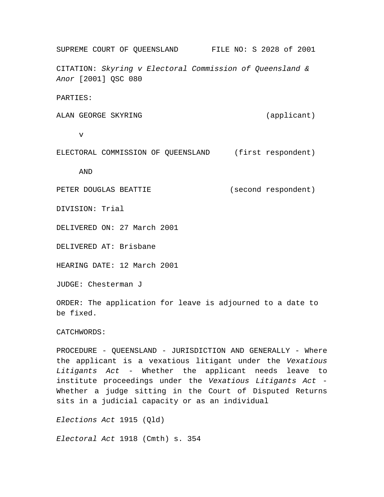SUPREME COURT OF QUEENSLAND FILE NO: S 2028 of 2001 CITATION: *Skyring v Electoral Commission of Queensland & Anor* [2001] QSC 080

PARTIES:

ALAN GEORGE SKYRING (applicant)

v

ELECTORAL COMMISSION OF QUEENSLAND (first respondent)

AND

PETER DOUGLAS BEATTIE (second respondent)

DIVISION: Trial

DELIVERED ON: 27 March 2001

DELIVERED AT: Brisbane

HEARING DATE: 12 March 2001

JUDGE: Chesterman J

ORDER: The application for leave is adjourned to a date to be fixed.

CATCHWORDS:

PROCEDURE - QUEENSLAND - JURISDICTION AND GENERALLY - Where the applicant is a vexatious litigant under the *Vexatious Litigants Act* - Whether the applicant needs leave to institute proceedings under the *Vexatious Litigants Act* - Whether a judge sitting in the Court of Disputed Returns sits in a judicial capacity or as an individual

*Elections Act* 1915 (Qld)

*Electoral Act* 1918 (Cmth) s. 354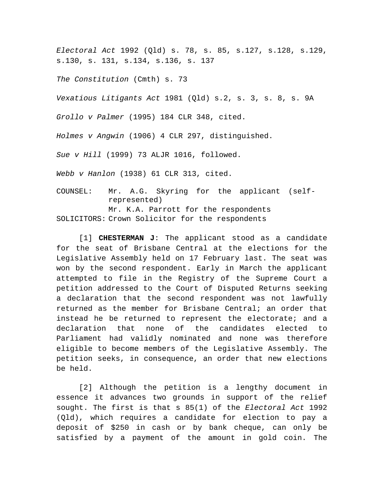*Electoral Act* 1992 (Qld) s. 78, s. 85, s.127, s.128, s.129, s.130, s. 131, s.134, s.136, s. 137

*The Constitution* (Cmth) s. 73

*Vexatious Litigants Act* 1981 (Qld) s.2, s. 3, s. 8, s. 9A

*Grollo v Palmer* (1995) 184 CLR 348, cited.

*Holmes v Angwin* (1906) 4 CLR 297, distinguished.

*Sue v Hill* (1999) 73 ALJR 1016, followed.

*Webb v Hanlon* (1938) 61 CLR 313, cited.

COUNSEL: Mr. A.G. Skyring for the applicant (selfrepresented) Mr. K.A. Parrott for the respondents SOLICITORS: Crown Solicitor for the respondents

[1] **CHESTERMAN J**: The applicant stood as a candidate for the seat of Brisbane Central at the elections for the Legislative Assembly held on 17 February last. The seat was won by the second respondent. Early in March the applicant attempted to file in the Registry of the Supreme Court a petition addressed to the Court of Disputed Returns seeking a declaration that the second respondent was not lawfully returned as the member for Brisbane Central; an order that instead he be returned to represent the electorate; and a declaration that none of the candidates elected to Parliament had validly nominated and none was therefore eligible to become members of the Legislative Assembly. The petition seeks, in consequence, an order that new elections be held.

[2] Although the petition is a lengthy document in essence it advances two grounds in support of the relief sought. The first is that s 85(1) of the *Electoral Act* 1992 (Qld), which requires a candidate for election to pay a deposit of \$250 in cash or by bank cheque, can only be satisfied by a payment of the amount in gold coin. The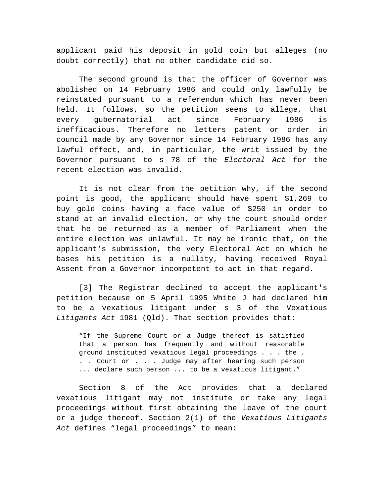applicant paid his deposit in gold coin but alleges (no doubt correctly) that no other candidate did so.

The second ground is that the officer of Governor was abolished on 14 February 1986 and could only lawfully be reinstated pursuant to a referendum which has never been held. It follows, so the petition seems to allege, that every gubernatorial act since February 1986 is inefficacious. Therefore no letters patent or order in council made by any Governor since 14 February 1986 has any lawful effect, and, in particular, the writ issued by the Governor pursuant to s 78 of the *Electoral Act* for the recent election was invalid.

It is not clear from the petition why, if the second point is good, the applicant should have spent \$1,269 to buy gold coins having a face value of \$250 in order to stand at an invalid election, or why the court should order that he be returned as a member of Parliament when the entire election was unlawful. It may be ironic that, on the applicant's submission, the very Electoral Act on which he bases his petition is a nullity, having received Royal Assent from a Governor incompetent to act in that regard.

[3] The Registrar declined to accept the applicant's petition because on 5 April 1995 White J had declared him to be a vexatious litigant under s 3 of the Vexatious *Litigants Act* 1981 (Qld). That section provides that:

"If the Supreme Court or a Judge thereof is satisfied that a person has frequently and without reasonable ground instituted vexatious legal proceedings . . . the . . . Court or . . . Judge may after hearing such person ... declare such person ... to be a vexatious litigant."

Section 8 of the Act provides that a declared vexatious litigant may not institute or take any legal proceedings without first obtaining the leave of the court or a judge thereof. Section 2(1) of the *Vexatious Litigants Act* defines "legal proceedings" to mean: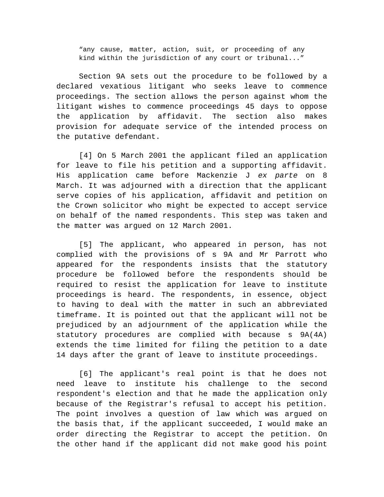"any cause, matter, action, suit, or proceeding of any kind within the jurisdiction of any court or tribunal..."

Section 9A sets out the procedure to be followed by a declared vexatious litigant who seeks leave to commence proceedings. The section allows the person against whom the litigant wishes to commence proceedings 45 days to oppose the application by affidavit. The section also makes provision for adequate service of the intended process on the putative defendant.

[4] On 5 March 2001 the applicant filed an application for leave to file his petition and a supporting affidavit. His application came before Mackenzie J *ex parte* on 8 March. It was adjourned with a direction that the applicant serve copies of his application, affidavit and petition on the Crown solicitor who might be expected to accept service on behalf of the named respondents. This step was taken and the matter was argued on 12 March 2001.

[5] The applicant, who appeared in person, has not complied with the provisions of s 9A and Mr Parrott who appeared for the respondents insists that the statutory procedure be followed before the respondents should be required to resist the application for leave to institute proceedings is heard. The respondents, in essence, object to having to deal with the matter in such an abbreviated timeframe. It is pointed out that the applicant will not be prejudiced by an adjournment of the application while the statutory procedures are complied with because s 9A(4A) extends the time limited for filing the petition to a date 14 days after the grant of leave to institute proceedings.

[6] The applicant's real point is that he does not need leave to institute his challenge to the second respondent's election and that he made the application only because of the Registrar's refusal to accept his petition. The point involves a question of law which was argued on the basis that, if the applicant succeeded, I would make an order directing the Registrar to accept the petition. On the other hand if the applicant did not make good his point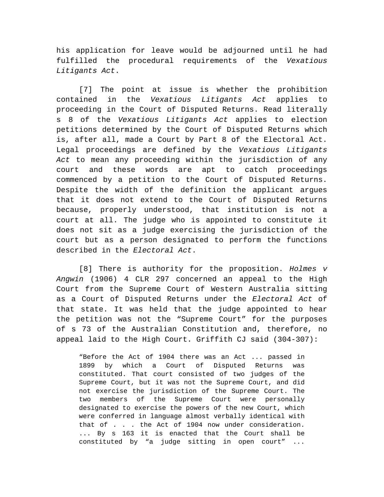his application for leave would be adjourned until he had fulfilled the procedural requirements of the *Vexatious Litigants Act*.

[7] The point at issue is whether the prohibition contained in the *Vexatious Litigants Act* applies to proceeding in the Court of Disputed Returns. Read literally s 8 of the *Vexatious Litigants Act* applies to election petitions determined by the Court of Disputed Returns which is, after all, made a Court by Part 8 of the Electoral Act. Legal proceedings are defined by the *Vexatious Litigants Act* to mean any proceeding within the jurisdiction of any court and these words are apt to catch proceedings commenced by a petition to the Court of Disputed Returns. Despite the width of the definition the applicant argues that it does not extend to the Court of Disputed Returns because, properly understood, that institution is not a court at all. The judge who is appointed to constitute it does not sit as a judge exercising the jurisdiction of the court but as a person designated to perform the functions described in the *Electoral Act*.

[8] There is authority for the proposition. *Holmes v Angwin* (1906) 4 CLR 297 concerned an appeal to the High Court from the Supreme Court of Western Australia sitting as a Court of Disputed Returns under the *Electoral Act* of that state. It was held that the judge appointed to hear the petition was not the "Supreme Court" for the purposes of s 73 of the Australian Constitution and, therefore, no appeal laid to the High Court. Griffith CJ said (304-307):

"Before the Act of 1904 there was an Act ... passed in 1899 by which a Court of Disputed Returns was constituted. That court consisted of two judges of the Supreme Court, but it was not the Supreme Court, and did not exercise the jurisdiction of the Supreme Court. The two members of the Supreme Court were personally designated to exercise the powers of the new Court, which were conferred in language almost verbally identical with that of . . . the Act of 1904 now under consideration. ... By s 163 it is enacted that the Court shall be constituted by "a judge sitting in open court" ...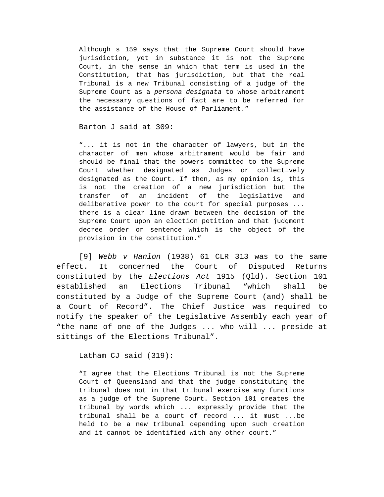Although s 159 says that the Supreme Court should have jurisdiction, yet in substance it is not the Supreme Court, in the sense in which that term is used in the Constitution, that has jurisdiction, but that the real Tribunal is a new Tribunal consisting of a judge of the Supreme Court as a *persona designata* to whose arbitrament the necessary questions of fact are to be referred for the assistance of the House of Parliament."

Barton J said at 309:

"... it is not in the character of lawyers, but in the character of men whose arbitrament would be fair and should be final that the powers committed to the Supreme Court whether designated as Judges or collectively designated as the Court. If then, as my opinion is, this is not the creation of a new jurisdiction but the transfer of an incident of the legislative and deliberative power to the court for special purposes ... there is a clear line drawn between the decision of the Supreme Court upon an election petition and that judgment decree order or sentence which is the object of the provision in the constitution."

[9] *Webb v Hanlon* (1938) 61 CLR 313 was to the same effect. It concerned the Court of Disputed Returns constituted by the *Elections Act* 1915 (Qld). Section 101 established an Elections Tribunal "which shall be constituted by a Judge of the Supreme Court (and) shall be a Court of Record". The Chief Justice was required to notify the speaker of the Legislative Assembly each year of "the name of one of the Judges ... who will ... preside at sittings of the Elections Tribunal".

Latham CJ said (319):

"I agree that the Elections Tribunal is not the Supreme Court of Queensland and that the judge constituting the tribunal does not in that tribunal exercise any functions as a judge of the Supreme Court. Section 101 creates the tribunal by words which ... expressly provide that the tribunal shall be a court of record ... it must ...be held to be a new tribunal depending upon such creation and it cannot be identified with any other court."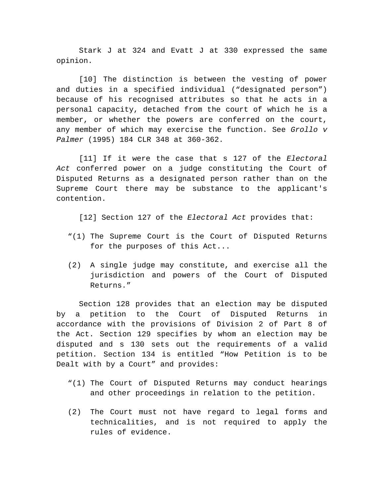Stark J at 324 and Evatt J at 330 expressed the same opinion.

[10] The distinction is between the vesting of power and duties in a specified individual ("designated person") because of his recognised attributes so that he acts in a personal capacity, detached from the court of which he is a member, or whether the powers are conferred on the court, any member of which may exercise the function. See *Grollo v Palmer* (1995) 184 CLR 348 at 360-362.

[11] If it were the case that s 127 of the *Electoral Act* conferred power on a judge constituting the Court of Disputed Returns as a designated person rather than on the Supreme Court there may be substance to the applicant's contention.

[12] Section 127 of the *Electoral Act* provides that:

- "(1) The Supreme Court is the Court of Disputed Returns for the purposes of this Act...
- (2) A single judge may constitute, and exercise all the jurisdiction and powers of the Court of Disputed Returns."

Section 128 provides that an election may be disputed by a petition to the Court of Disputed Returns in accordance with the provisions of Division 2 of Part 8 of the Act. Section 129 specifies by whom an election may be disputed and s 130 sets out the requirements of a valid petition. Section 134 is entitled "How Petition is to be Dealt with by a Court" and provides:

- "(1) The Court of Disputed Returns may conduct hearings and other proceedings in relation to the petition.
- (2) The Court must not have regard to legal forms and technicalities, and is not required to apply the rules of evidence.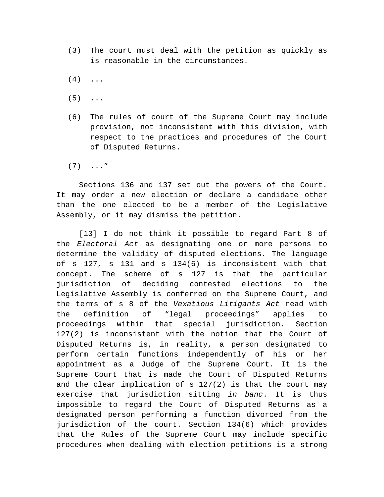- (3) The court must deal with the petition as quickly as is reasonable in the circumstances.
- $(4) \ldots$
- $(5)$  ...
- (6) The rules of court of the Supreme Court may include provision, not inconsistent with this division, with respect to the practices and procedures of the Court of Disputed Returns.
- $(7) \ldots$ "

Sections 136 and 137 set out the powers of the Court. It may order a new election or declare a candidate other than the one elected to be a member of the Legislative Assembly, or it may dismiss the petition.

[13] I do not think it possible to regard Part 8 of the *Electoral Act* as designating one or more persons to determine the validity of disputed elections. The language of s 127, s 131 and s 134(6) is inconsistent with that concept. The scheme of s 127 is that the particular jurisdiction of deciding contested elections to the Legislative Assembly is conferred on the Supreme Court, and the terms of s 8 of the *Vexatious Litigants Act* read with the definition of "legal proceedings" applies to proceedings within that special jurisdiction. Section 127(2) is inconsistent with the notion that the Court of Disputed Returns is, in reality, a person designated to perform certain functions independently of his or her appointment as a Judge of the Supreme Court. It is the Supreme Court that is made the Court of Disputed Returns and the clear implication of s 127(2) is that the court may exercise that jurisdiction sitting *in banc*. It is thus impossible to regard the Court of Disputed Returns as a designated person performing a function divorced from the jurisdiction of the court. Section 134(6) which provides that the Rules of the Supreme Court may include specific procedures when dealing with election petitions is a strong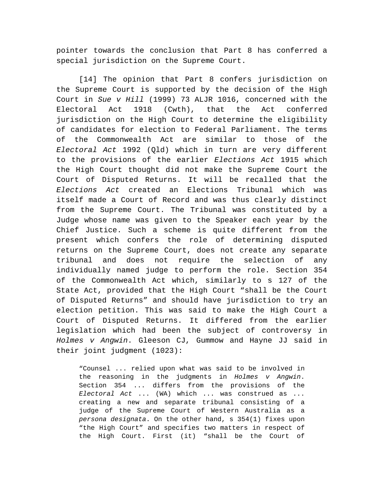pointer towards the conclusion that Part 8 has conferred a special jurisdiction on the Supreme Court.

[14] The opinion that Part 8 confers jurisdiction on the Supreme Court is supported by the decision of the High Court in *Sue v Hill* (1999) 73 ALJR 1016, concerned with the Electoral Act 1918 (Cwth), that the Act conferred jurisdiction on the High Court to determine the eligibility of candidates for election to Federal Parliament. The terms of the Commonwealth Act are similar to those of the *Electoral Act* 1992 (Qld) which in turn are very different to the provisions of the earlier *Elections Act* 1915 which the High Court thought did not make the Supreme Court the Court of Disputed Returns. It will be recalled that the *Elections Act* created an Elections Tribunal which was itself made a Court of Record and was thus clearly distinct from the Supreme Court. The Tribunal was constituted by a Judge whose name was given to the Speaker each year by the Chief Justice. Such a scheme is quite different from the present which confers the role of determining disputed returns on the Supreme Court, does not create any separate tribunal and does not require the selection of any individually named judge to perform the role. Section 354 of the Commonwealth Act which, similarly to s 127 of the State Act, provided that the High Court "shall be the Court of Disputed Returns" and should have jurisdiction to try an election petition. This was said to make the High Court a Court of Disputed Returns. It differed from the earlier legislation which had been the subject of controversy in *Holmes v Angwin*. Gleeson CJ, Gummow and Hayne JJ said in their joint judgment (1023):

"Counsel ... relied upon what was said to be involved in the reasoning in the judgments in *Holmes v Angwin*. Section 354 ... differs from the provisions of the *Electoral Act* ... (WA) which ... was construed as ... creating a new and separate tribunal consisting of a judge of the Supreme Court of Western Australia as a *persona designata*. On the other hand, s 354(1) fixes upon "the High Court" and specifies two matters in respect of the High Court. First (it) "shall be the Court of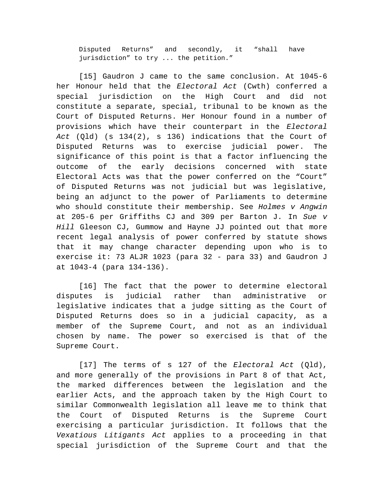Disputed Returns" and secondly, it "shall have jurisdiction" to try ... the petition."

[15] Gaudron J came to the same conclusion. At 1045-6 her Honour held that the *Electoral Act* (Cwth) conferred a special jurisdiction on the High Court and did not constitute a separate, special, tribunal to be known as the Court of Disputed Returns. Her Honour found in a number of provisions which have their counterpart in the *Electoral Act* (Qld) (s 134(2), s 136) indications that the Court of Disputed Returns was to exercise judicial power. The significance of this point is that a factor influencing the outcome of the early decisions concerned with state Electoral Acts was that the power conferred on the "Court" of Disputed Returns was not judicial but was legislative, being an adjunct to the power of Parliaments to determine who should constitute their membership. See *Holmes v Angwin* at 205-6 per Griffiths CJ and 309 per Barton J. In *Sue v Hill* Gleeson CJ, Gummow and Hayne JJ pointed out that more recent legal analysis of power conferred by statute shows that it may change character depending upon who is to exercise it: 73 ALJR 1023 (para 32 - para 33) and Gaudron J at 1043-4 (para 134-136).

[16] The fact that the power to determine electoral disputes is judicial rather than administrative or legislative indicates that a judge sitting as the Court of Disputed Returns does so in a judicial capacity, as a member of the Supreme Court, and not as an individual chosen by name. The power so exercised is that of the Supreme Court.

[17] The terms of s 127 of the *Electoral Act* (Qld), and more generally of the provisions in Part 8 of that Act, the marked differences between the legislation and the earlier Acts, and the approach taken by the High Court to similar Commonwealth legislation all leave me to think that the Court of Disputed Returns is the Supreme Court exercising a particular jurisdiction. It follows that the *Vexatious Litigants Act* applies to a proceeding in that special jurisdiction of the Supreme Court and that the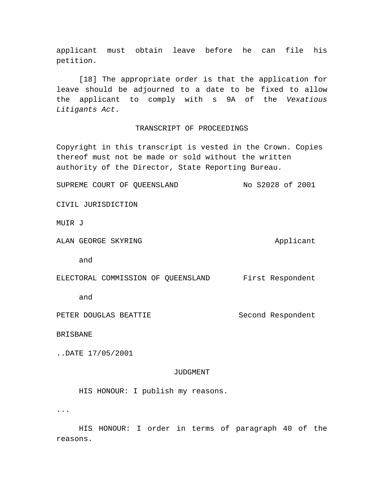applicant must obtain leave before he can file his petition.

[18] The appropriate order is that the application for leave should be adjourned to a date to be fixed to allow the applicant to comply with s 9A of the *Vexatious Litigants Act*.

# TRANSCRIPT OF PROCEEDINGS

Copyright in this transcript is vested in the Crown. Copies thereof must not be made or sold without the written authority of the Director, State Reporting Bureau.

SUPREME COURT OF QUEENSLAND No S2028 of 2001

CIVIL JURISDICTION

MUIR J

ALAN GEORGE SKYRING ALAN Applicant

and

|  | ELECTORAL COMMISSION OF QUEENSLAND |  |  |  | First Respondent |
|--|------------------------------------|--|--|--|------------------|
|--|------------------------------------|--|--|--|------------------|

and

PETER DOUGLAS BEATTIE Second Respondent

BRISBANE

..DATE 17/05/2001

### JUDGMENT

HIS HONOUR: I publish my reasons.

...

HIS HONOUR: I order in terms of paragraph 40 of the reasons.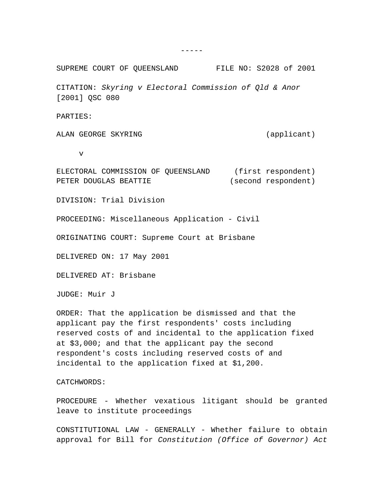SUPREME COURT OF QUEENSLAND FILE NO: S2028 of 2001 CITATION: *Skyring v Electoral Commission of Qld & Anor* [2001] OSC 080 PARTIES: ALAN GEORGE SKYRING (applicant) v ELECTORAL COMMISSION OF QUEENSLAND (first respondent) PETER DOUGLAS BEATTIE (second respondent) DIVISION: Trial Division

PROCEEDING: Miscellaneous Application - Civil

ORIGINATING COURT: Supreme Court at Brisbane

DELIVERED ON: 17 May 2001

DELIVERED AT: Brisbane

JUDGE: Muir J

ORDER: That the application be dismissed and that the applicant pay the first respondents' costs including reserved costs of and incidental to the application fixed at \$3,000; and that the applicant pay the second respondent's costs including reserved costs of and incidental to the application fixed at \$1,200.

CATCHWORDS:

PROCEDURE - Whether vexatious litigant should be granted leave to institute proceedings

CONSTITUTIONAL LAW - GENERALLY - Whether failure to obtain approval for Bill for *Constitution (Office of Governor) Act*

 $-----$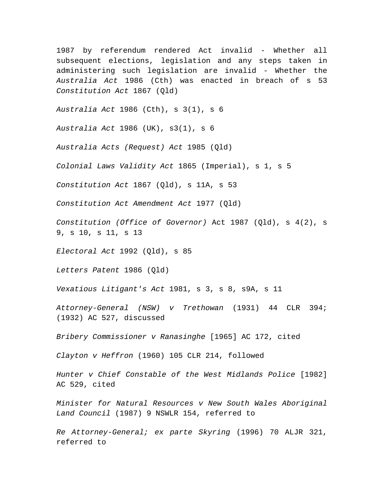1987 by referendum rendered Act invalid - Whether all subsequent elections, legislation and any steps taken in administering such legislation are invalid - Whether the *Australia Act* 1986 (Cth) was enacted in breach of s 53 *Constitution Act* 1867 (Qld)

*Australia Act* 1986 (Cth), s 3(1), s 6

*Australia Act* 1986 (UK), s3(1), s 6

*Australia Acts (Request) Act* 1985 (Qld)

*Colonial Laws Validity Act* 1865 (Imperial), s 1, s 5

*Constitution Act* 1867 (Qld), s 11A, s 53

*Constitution Act Amendment Act* 1977 (Qld)

*Constitution (Office of Governor)* Act 1987 (Qld), s 4(2), s 9, s 10, s 11, s 13

*Electoral Act* 1992 (Qld), s 85

*Letters Patent* 1986 (Qld)

*Vexatious Litigant's Act* 1981, s 3, s 8, s9A, s 11

*Attorney-General (NSW) v Trethowan* (1931) 44 CLR 394; (1932) AC 527, discussed

*Bribery Commissioner v Ranasinghe* [1965] AC 172, cited

*Clayton v Heffron* (1960) 105 CLR 214, followed

*Hunter v Chief Constable of the West Midlands Police* [1982] AC 529, cited

*Minister for Natural Resources v New South Wales Aboriginal Land Council* (1987) 9 NSWLR 154, referred to

*Re Attorney-General; ex parte Skyring* (1996) 70 ALJR 321, referred to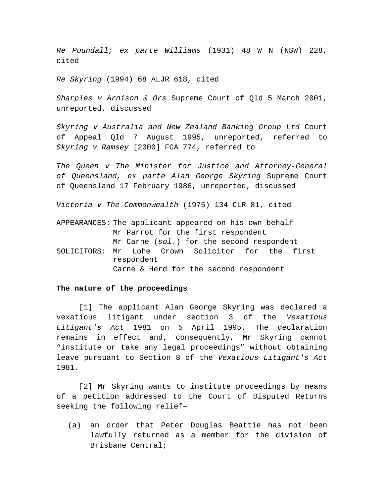*Re Poundall; ex parte Williams* (1931) 48 W N (NSW) 228, cited

*Re Skyring* (1994) 68 ALJR 618, cited

*Sharples v Arnison & Ors* Supreme Court of Qld 5 March 2001, unreported, discussed

*Skyring v Australia and New Zealand Banking Group Ltd* Court of Appeal Qld 7 August 1995, unreported, referred to *Skyring v Ramsey* [2000] FCA 774, referred to

*The Queen v The Minister for Justice and Attorney-General of Queensland, ex parte Alan George Skyring* Supreme Court of Queensland 17 February 1986, unreported, discussed

*Victoria v The Commonwealth* (1975) 134 CLR 81, cited

APPEARANCES: The applicant appeared on his own behalf Mr Parrot for the first respondent Mr Carne (*sol*.) for the second respondent SOLICITORS: Mr Lohe Crown Solicitor for the first respondent Carne & Herd for the second respondent

## **The nature of the proceedings**

[1] The applicant Alan George Skyring was declared a vexatious litigant under section 3 of the *Vexatious Litigant's Act* 1981 on 5 April 1995. The declaration remains in effect and, consequently, Mr Skyring cannot "institute or take any legal proceedings" without obtaining leave pursuant to Section 8 of the *Vexatious Litigant's Act* 1981.

[2] Mr Skyring wants to institute proceedings by means of a petition addressed to the Court of Disputed Returns seeking the following relief—

(a) an order that Peter Douglas Beattie has not been lawfully returned as a member for the division of Brisbane Central;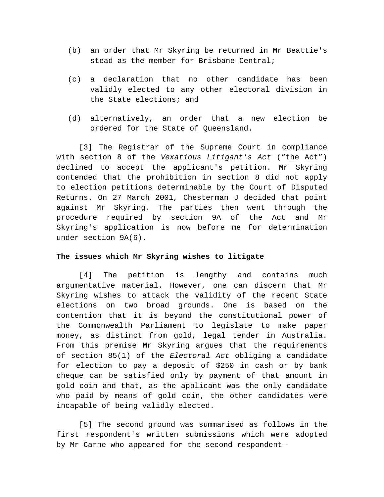- (b) an order that Mr Skyring be returned in Mr Beattie's stead as the member for Brisbane Central;
- (c) a declaration that no other candidate has been validly elected to any other electoral division in the State elections; and
- (d) alternatively, an order that a new election be ordered for the State of Queensland.

[3] The Registrar of the Supreme Court in compliance with section 8 of the *Vexatious Litigant's Act* ("the Act") declined to accept the applicant's petition. Mr Skyring contended that the prohibition in section 8 did not apply to election petitions determinable by the Court of Disputed Returns. On 27 March 2001, Chesterman J decided that point against Mr Skyring. The parties then went through the procedure required by section 9A of the Act and Mr Skyring's application is now before me for determination under section 9A(6).

# **The issues which Mr Skyring wishes to litigate**

[4] The petition is lengthy and contains much argumentative material. However, one can discern that Mr Skyring wishes to attack the validity of the recent State elections on two broad grounds. One is based on the contention that it is beyond the constitutional power of the Commonwealth Parliament to legislate to make paper money, as distinct from gold, legal tender in Australia. From this premise Mr Skyring argues that the requirements of section 85(1) of the *Electoral Act* obliging a candidate for election to pay a deposit of \$250 in cash or by bank cheque can be satisfied only by payment of that amount in gold coin and that, as the applicant was the only candidate who paid by means of gold coin, the other candidates were incapable of being validly elected.

[5] The second ground was summarised as follows in the first respondent's written submissions which were adopted by Mr Carne who appeared for the second respondent—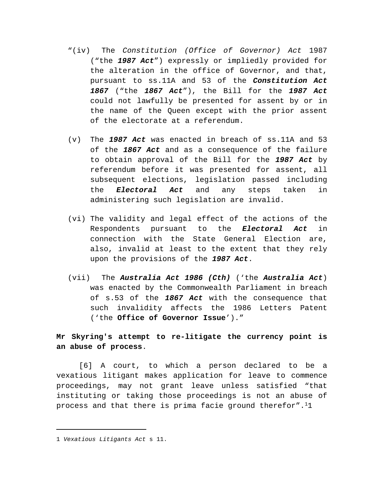- "(iv) The *Constitution (Office of Governor) Act* 1987 ("the *1987 Act*") expressly or impliedly provided for the alteration in the office of Governor, and that, pursuant to ss.11A and 53 of the *Constitution Act 1867* ("the *1867 Act*"), the Bill for the *1987 Act* could not lawfully be presented for assent by or in the name of the Queen except with the prior assent of the electorate at a referendum.
- (v) The *1987 Act* was enacted in breach of ss.11A and 53 of the *1867 Act* and as a consequence of the failure to obtain approval of the Bill for the *1987 Act* by referendum before it was presented for assent, all subsequent elections, legislation passed including the *Electoral Act* and any steps taken in administering such legislation are invalid.
- (vi) The validity and legal effect of the actions of the Respondents pursuant to the *Electoral Act* in connection with the State General Election are, also, invalid at least to the extent that they rely upon the provisions of the *1987 Act*.
- (vii) The *Australia Act 1986 (Cth)* ('the *Australia Act*) was enacted by the Commonwealth Parliament in breach of s.53 of the *1867 Act* with the consequence that such invalidity affects the 1986 Letters Patent ('the **Office of Governor Issue**')."

# **Mr Skyring's attempt to re-litigate the currency point is an abuse of process**.

[6] A court, to which a person declared to be a vexatious litigant makes application for leave to commence proceedings, may not grant leave unless satisfied "that instituting or taking those proceedings is not an abuse of process and that there is prima facie ground therefor".<sup>1</sup>1

<sup>1</sup> *Vexatious Litigants Act* s 11.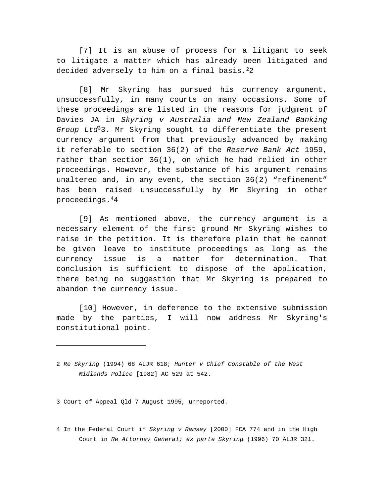[7] It is an abuse of process for a litigant to seek to litigate a matter which has already been litigated and decided adversely to him on a final basis.<sup>2</sup>2

[8] Mr Skyring has pursued his currency argument, unsuccessfully, in many courts on many occasions. Some of these proceedings are listed in the reasons for judgment of Davies JA in *Skyring v Australia and New Zealand Banking Group Ltd*<sup>3</sup>3. Mr Skyring sought to differentiate the present currency argument from that previously advanced by making it referable to section 36(2) of the *Reserve Bank Act* 1959, rather than section 36(1), on which he had relied in other proceedings. However, the substance of his argument remains unaltered and, in any event, the section 36(2) "refinement" has been raised unsuccessfully by Mr Skyring in other proceedings.<sup>4</sup>4

[9] As mentioned above, the currency argument is a necessary element of the first ground Mr Skyring wishes to raise in the petition. It is therefore plain that he cannot be given leave to institute proceedings as long as the currency issue is a matter for determination. That conclusion is sufficient to dispose of the application, there being no suggestion that Mr Skyring is prepared to abandon the currency issue.

[10] However, in deference to the extensive submission made by the parties, I will now address Mr Skyring's constitutional point.

3 Court of Appeal Qld 7 August 1995, unreported.

4 In the Federal Court in *Skyring v Ramsey* [2000] FCA 774 and in the High Court in *Re Attorney General; ex parte Skyring* (1996) 70 ALJR 321.

<sup>2</sup> *Re Skyring* (1994) 68 ALJR 618; *Hunter v Chief Constable of the West Midlands Police* [1982] AC 529 at 542.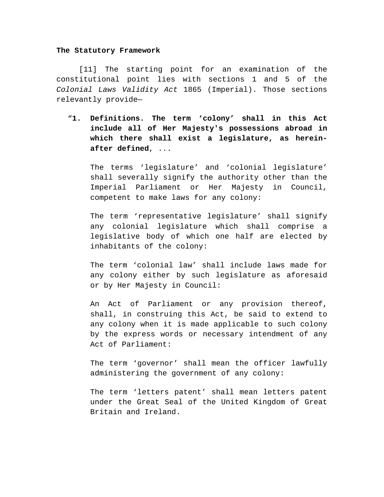#### **The Statutory Framework**

[11] The starting point for an examination of the constitutional point lies with sections 1 and 5 of the *Colonial Laws Validity Act* 1865 (Imperial). Those sections relevantly provide—

"**1. Definitions. The term 'colony' shall in this Act include all of Her Majesty's possessions abroad in which there shall exist a legislature, as hereinafter defined**, ...

The terms 'legislature' and 'colonial legislature' shall severally signify the authority other than the Imperial Parliament or Her Majesty in Council, competent to make laws for any colony:

The term 'representative legislature' shall signify any colonial legislature which shall comprise a legislative body of which one half are elected by inhabitants of the colony:

The term 'colonial law' shall include laws made for any colony either by such legislature as aforesaid or by Her Majesty in Council:

An Act of Parliament or any provision thereof, shall, in construing this Act, be said to extend to any colony when it is made applicable to such colony by the express words or necessary intendment of any Act of Parliament:

The term 'governor' shall mean the officer lawfully administering the government of any colony:

The term 'letters patent' shall mean letters patent under the Great Seal of the United Kingdom of Great Britain and Ireland.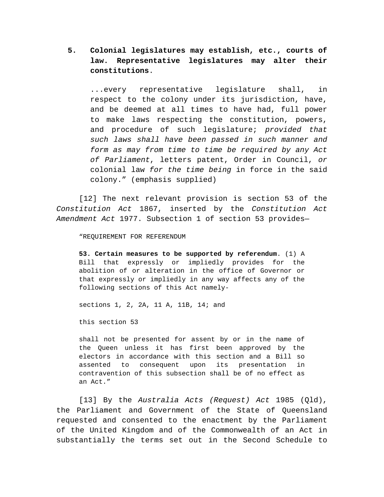# **5. Colonial legislatures may establish, etc., courts of law. Representative legislatures may alter their constitutions**.

...every representative legislature shall, in respect to the colony under its jurisdiction, have, and be deemed at all times to have had, full power to make laws respecting the constitution, powers, and procedure of such legislature; *provided that such laws shall have been passed in such manner and form as may from time to time be required by any Act of Parliament*, letters patent, Order in Council, *or* colonial law *for the time being* in force in the said colony." (emphasis supplied)

[12] The next relevant provision is section 53 of the *Constitution Act* 1867, inserted by the *Constitution Act Amendment Act* 1977. Subsection 1 of section 53 provides—

"REQUIREMENT FOR REFERENDUM

**53. Certain measures to be supported by referendum**. (1) A Bill that expressly or impliedly provides for the abolition of or alteration in the office of Governor or that expressly or impliedly in any way affects any of the following sections of this Act namely-

sections 1, 2, 2A, 11 A, 11B, 14; and

this section 53

shall not be presented for assent by or in the name of the Queen unless it has first been approved by the electors in accordance with this section and a Bill so assented to consequent upon its presentation in contravention of this subsection shall be of no effect as an Act."

[13] By the *Australia Acts (Request) Act* 1985 (Qld), the Parliament and Government of the State of Queensland requested and consented to the enactment by the Parliament of the United Kingdom and of the Commonwealth of an Act in substantially the terms set out in the Second Schedule to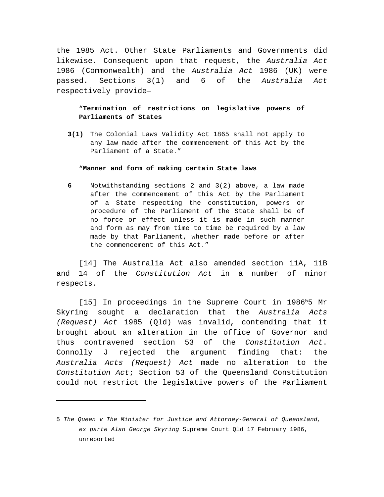the 1985 Act. Other State Parliaments and Governments did likewise. Consequent upon that request, the *Australia Act* 1986 (Commonwealth) and the *Australia Act* 1986 (UK) were passed. Sections 3(1) and 6 of the *Australia Act* respectively provide—

# "**Termination of restrictions on legislative powers of Parliaments of States**

**3(1)** The Colonial Laws Validity Act 1865 shall not apply to any law made after the commencement of this Act by the Parliament of a State."

# "**Manner and form of making certain State laws**

**6** Notwithstanding sections 2 and 3(2) above, a law made after the commencement of this Act by the Parliament of a State respecting the constitution, powers or procedure of the Parliament of the State shall be of no force or effect unless it is made in such manner and form as may from time to time be required by a law made by that Parliament, whether made before or after the commencement of this Act."

[14] The Australia Act also amended section 11A, 11B and 14 of the *Constitution Act* in a number of minor respects.

[15] In proceedings in the Supreme Court in 1986<sup>5</sup>5 Mr Skyring sought a declaration that the *Australia Acts (Request) Act* 1985 (Qld) was invalid, contending that it brought about an alteration in the office of Governor and thus contravened section 53 of the *Constitution Act*. Connolly J rejected the argument finding that: the *Australia Acts (Request) Act* made no alteration to the *Constitution Act*; Section 53 of the Queensland Constitution could not restrict the legislative powers of the Parliament

<sup>5</sup> *The Queen v The Minister for Justice and Attorney-General of Queensland, ex parte Alan George Skyring* Supreme Court Qld 17 February 1986, unreported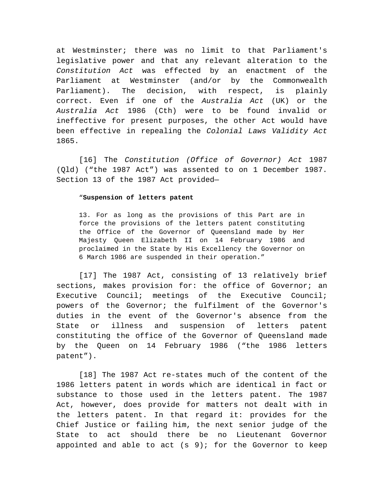at Westminster; there was no limit to that Parliament's legislative power and that any relevant alteration to the *Constitution Act* was effected by an enactment of the Parliament at Westminster (and/or by the Commonwealth Parliament). The decision, with respect, is plainly correct. Even if one of the *Australia Act* (UK) or the *Australia Act* 1986 (Cth) were to be found invalid or ineffective for present purposes, the other Act would have been effective in repealing the *Colonial Laws Validity Act* 1865.

[16] The *Constitution (Office of Governor) Act* 1987 (Qld) ("the 1987 Act") was assented to on 1 December 1987. Section 13 of the 1987 Act provided—

# "**Suspension of letters patent**

13. For as long as the provisions of this Part are in force the provisions of the letters patent constituting the Office of the Governor of Queensland made by Her Majesty Queen Elizabeth II on 14 February 1986 and proclaimed in the State by His Excellency the Governor on 6 March 1986 are suspended in their operation."

[17] The 1987 Act, consisting of 13 relatively brief sections, makes provision for: the office of Governor; an Executive Council; meetings of the Executive Council; powers of the Governor; the fulfilment of the Governor's duties in the event of the Governor's absence from the State or illness and suspension of letters patent constituting the office of the Governor of Queensland made by the Queen on 14 February 1986 ("the 1986 letters patent").

[18] The 1987 Act re-states much of the content of the 1986 letters patent in words which are identical in fact or substance to those used in the letters patent. The 1987 Act, however, does provide for matters not dealt with in the letters patent. In that regard it: provides for the Chief Justice or failing him, the next senior judge of the State to act should there be no Lieutenant Governor appointed and able to act  $(s, 9)$ ; for the Governor to keep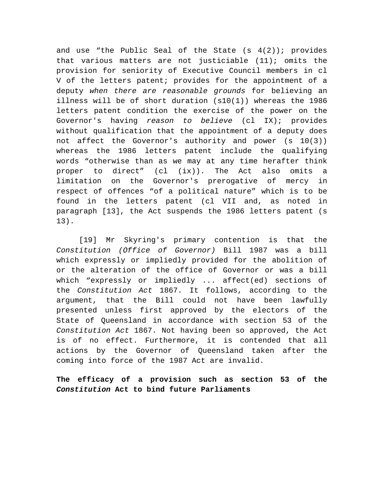and use "the Public Seal of the State  $(s \ 4(2))$ ; provides that various matters are not justiciable (11); omits the provision for seniority of Executive Council members in cl V of the letters patent; provides for the appointment of a deputy *when there are reasonable grounds* for believing an illness will be of short duration (s10(1)) whereas the 1986 letters patent condition the exercise of the power on the Governor's having *reason to believe* (cl IX); provides without qualification that the appointment of a deputy does not affect the Governor's authority and power (s 10(3)) whereas the 1986 letters patent include the qualifying words "otherwise than as we may at any time herafter think proper to direct" (cl (ix)). The Act also omits a limitation on the Governor's prerogative of mercy in respect of offences "of a political nature" which is to be found in the letters patent (cl VII and, as noted in paragraph [13], the Act suspends the 1986 letters patent (s 13).

[19] Mr Skyring's primary contention is that the *Constitution (Office of Governor)* Bill 1987 was a bill which expressly or impliedly provided for the abolition of or the alteration of the office of Governor or was a bill which "expressly or impliedly ... affect(ed) sections of the *Constitution Act* 1867. It follows, according to the argument, that the Bill could not have been lawfully presented unless first approved by the electors of the State of Queensland in accordance with section 53 of the *Constitution Act* 1867. Not having been so approved, the Act is of no effect. Furthermore, it is contended that all actions by the Governor of Queensland taken after the coming into force of the 1987 Act are invalid.

**The efficacy of a provision such as section 53 of the**  *Constitution* **Act to bind future Parliaments**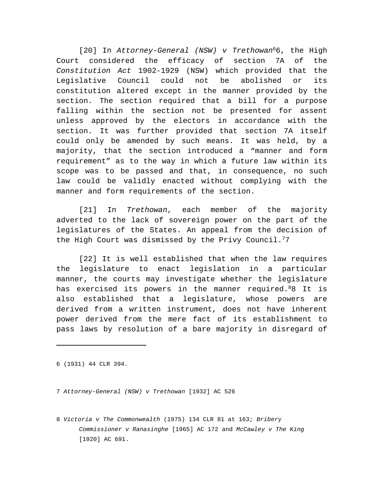[20] In *Attorney-General (NSW) v Trethowan*<sup>6</sup>6, the High Court considered the efficacy of section 7A of the *Constitution Act* 1902-1929 (NSW) which provided that the Legislative Council could not be abolished or its constitution altered except in the manner provided by the section. The section required that a bill for a purpose falling within the section not be presented for assent unless approved by the electors in accordance with the section. It was further provided that section 7A itself could only be amended by such means. It was held, by a majority, that the section introduced a "manner and form requirement" as to the way in which a future law within its scope was to be passed and that, in consequence, no such law could be validly enacted without complying with the manner and form requirements of the section.

[21] In *Trethowan*, each member of the majority adverted to the lack of sovereign power on the part of the legislatures of the States. An appeal from the decision of the High Court was dismissed by the Privy Council.<sup>7</sup>7

[22] It is well established that when the law requires the legislature to enact legislation in a particular manner, the courts may investigate whether the legislature has exercised its powers in the manner required. <sup>8</sup>8 It is also established that a legislature, whose powers are derived from a written instrument, does not have inherent power derived from the mere fact of its establishment to pass laws by resolution of a bare majority in disregard of

6 (1931) 44 CLR 394.

7 *Attorney-General (NSW) v Trethowan* [1932] AC 526

8 *Victoria v The Commonwealth* (1975) 134 CLR 81 at 163; *Bribery Commissioner v Ranasinghe* [1965] AC 172 and *McCawley v The King* [1920] AC 691.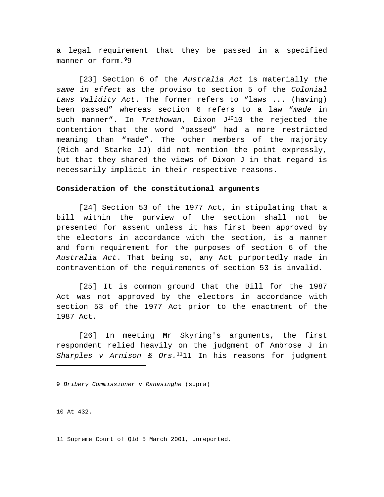a legal requirement that they be passed in a specified manner or form.<sup>9</sup>9

[23] Section 6 of the *Australia Act* is materially *the same in effect* as the proviso to section 5 of the *Colonial Laws Validity Act*. The former refers to "laws ... (having) been passed" whereas section 6 refers to a law "*made* in such manner". In *Trethowan*, Dixon J<sup>10</sup>10 the rejected the contention that the word "passed" had a more restricted meaning than "made". The other members of the majority (Rich and Starke JJ) did not mention the point expressly, but that they shared the views of Dixon J in that regard is necessarily implicit in their respective reasons.

### **Consideration of the constitutional arguments**

[24] Section 53 of the 1977 Act, in stipulating that a bill within the purview of the section shall not be presented for assent unless it has first been approved by the electors in accordance with the section, is a manner and form requirement for the purposes of section 6 of the *Australia Act*. That being so, any Act purportedly made in contravention of the requirements of section 53 is invalid.

[25] It is common ground that the Bill for the 1987 Act was not approved by the electors in accordance with section 53 of the 1977 Act prior to the enactment of the 1987 Act.

[26] In meeting Mr Skyring's arguments, the first respondent relied heavily on the judgment of Ambrose J in *Sharples v Arnison & Ors.*<sup>11</sup>11 In his reasons for judgment

9 *Bribery Commissioner v Ranasinghe* (supra)

10 At 432.

11 Supreme Court of Qld 5 March 2001, unreported.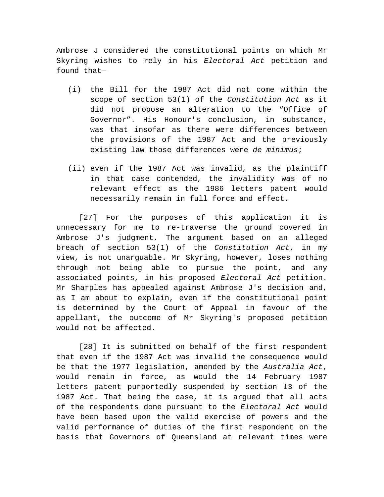Ambrose J considered the constitutional points on which Mr Skyring wishes to rely in his *Electoral Act* petition and found that—

- (i) the Bill for the 1987 Act did not come within the scope of section 53(1) of the *Constitution Act* as it did not propose an alteration to the "Office of Governor". His Honour's conclusion, in substance, was that insofar as there were differences between the provisions of the 1987 Act and the previously existing law those differences were *de minimus*;
- (ii) even if the 1987 Act was invalid, as the plaintiff in that case contended, the invalidity was of no relevant effect as the 1986 letters patent would necessarily remain in full force and effect.

[27] For the purposes of this application it is unnecessary for me to re-traverse the ground covered in Ambrose J's judgment. The argument based on an alleged breach of section 53(1) of the *Constitution Act*, in my view, is not unarguable. Mr Skyring, however, loses nothing through not being able to pursue the point, and any associated points, in his proposed *Electoral Act* petition. Mr Sharples has appealed against Ambrose J's decision and, as I am about to explain, even if the constitutional point is determined by the Court of Appeal in favour of the appellant, the outcome of Mr Skyring's proposed petition would not be affected.

[28] It is submitted on behalf of the first respondent that even if the 1987 Act was invalid the consequence would be that the 1977 legislation, amended by the *Australia Act*, would remain in force, as would the 14 February 1987 letters patent purportedly suspended by section 13 of the 1987 Act. That being the case, it is argued that all acts of the respondents done pursuant to the *Electoral Act* would have been based upon the valid exercise of powers and the valid performance of duties of the first respondent on the basis that Governors of Queensland at relevant times were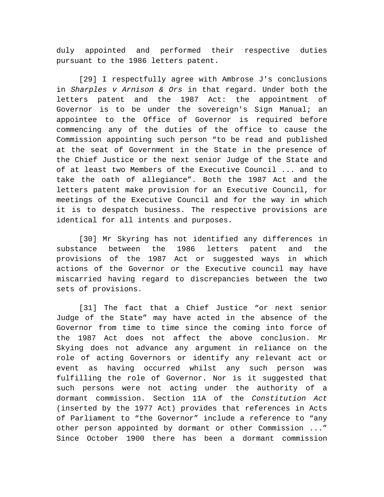duly appointed and performed their respective duties pursuant to the 1986 letters patent.

[29] I respectfully agree with Ambrose J's conclusions in *Sharples v Arnison & Ors* in that regard. Under both the letters patent and the 1987 Act: the appointment of Governor is to be under the sovereign's Sign Manual; an appointee to the Office of Governor is required before commencing any of the duties of the office to cause the Commission appointing such person "to be read and published at the seat of Government in the State in the presence of the Chief Justice or the next senior Judge of the State and of at least two Members of the Executive Council ... and to take the oath of allegiance". Both the 1987 Act and the letters patent make provision for an Executive Council, for meetings of the Executive Council and for the way in which it is to despatch business. The respective provisions are identical for all intents and purposes.

[30] Mr Skyring has not identified any differences in substance between the 1986 letters patent and the provisions of the 1987 Act or suggested ways in which actions of the Governor or the Executive council may have miscarried having regard to discrepancies between the two sets of provisions.

[31] The fact that a Chief Justice "or next senior Judge of the State" may have acted in the absence of the Governor from time to time since the coming into force of the 1987 Act does not affect the above conclusion. Mr Skying does not advance any argument in reliance on the role of acting Governors or identify any relevant act or event as having occurred whilst any such person was fulfilling the role of Governor. Nor is it suggested that such persons were not acting under the authority of a dormant commission. Section 11A of the *Constitution Act* (inserted by the 1977 Act) provides that references in Acts of Parliament to "the Governor" include a reference to "any other person appointed by dormant or other Commission ..." Since October 1900 there has been a dormant commission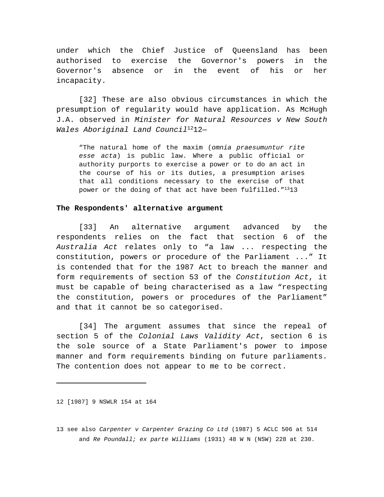under which the Chief Justice of Queensland has been authorised to exercise the Governor's powers in the Governor's absence or in the event of his or her incapacity.

[32] These are also obvious circumstances in which the presumption of regularity would have application. As McHugh J.A. observed in *Minister for Natural Resources v New South Wales Aboriginal Land Council*<sup>12</sup>12—

"The natural home of the maxim (*omnia praesumuntur rite esse acta*) is public law. Where a public official or authority purports to exercise a power or to do an act in the course of his or its duties, a presumption arises that all conditions necessary to the exercise of that power or the doing of that act have been fulfilled."<sup>13</sup>13

### **The Respondents' alternative argument**

[33] An alternative argument advanced by the respondents relies on the fact that section 6 of the *Australia Act* relates only to "a law ... respecting the constitution, powers or procedure of the Parliament ..." It is contended that for the 1987 Act to breach the manner and form requirements of section 53 of the *Constitution Act*, it must be capable of being characterised as a law "respecting the constitution, powers or procedures of the Parliament" and that it cannot be so categorised.

[34] The argument assumes that since the repeal of section 5 of the *Colonial Laws Validity Act*, section 6 is the sole source of a State Parliament's power to impose manner and form requirements binding on future parliaments. The contention does not appear to me to be correct.

12 [1987] 9 NSWLR 154 at 164

<sup>13</sup> see also *Carpenter v Carpenter Grazing Co Ltd* (1987) 5 ACLC 506 at 514 and *Re Poundall; ex parte Williams* (1931) 48 W N (NSW) 228 at 230.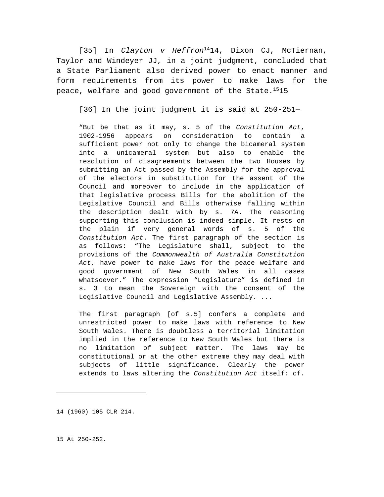[35] In *Clayton v Heffron*<sup>14</sup>14, Dixon CJ, McTiernan, Taylor and Windeyer JJ, in a joint judgment, concluded that a State Parliament also derived power to enact manner and form requirements from its power to make laws for the peace, welfare and good government of the State.<sup>15</sup>15

[36] In the joint judgment it is said at 250-251—

"But be that as it may, s. 5 of the *Constitution Act*, 1902-1956 appears on consideration to contain a sufficient power not only to change the bicameral system into a unicameral system but also to enable the resolution of disagreements between the two Houses by submitting an Act passed by the Assembly for the approval of the electors in substitution for the assent of the Council and moreover to include in the application of that legislative process Bills for the abolition of the Legislative Council and Bills otherwise falling within the description dealt with by s. 7A. The reasoning supporting this conclusion is indeed simple. It rests on the plain if very general words of s. 5 of the *Constitution Act*. The first paragraph of the section is as follows: "The Legislature shall, subject to the provisions of the *Commonwealth of Australia Constitution Act*, have power to make laws for the peace welfare and good government of New South Wales in all cases whatsoever." The expression "Legislature" is defined in s. 3 to mean the Sovereign with the consent of the Legislative Council and Legislative Assembly. ...

The first paragraph [of s.5] confers a complete and unrestricted power to make laws with reference to New South Wales. There is doubtless a territorial limitation implied in the reference to New South Wales but there is no limitation of subject matter. The laws may be constitutional or at the other extreme they may deal with subjects of little significance. Clearly the power extends to laws altering the *Constitution Act* itself: cf.

14 (1960) 105 CLR 214.

15 At 250-252.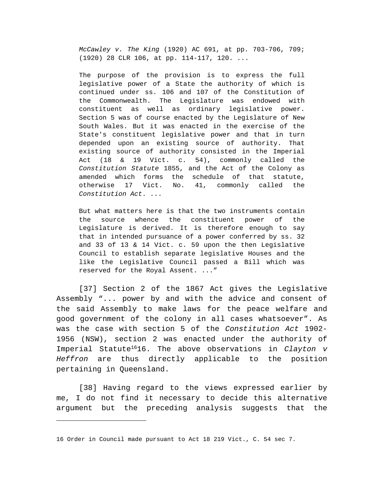*McCawley v. The King* (1920) AC 691, at pp. 703-706, 709; (1920) 28 CLR 106, at pp. 114-117, 120. ...

The purpose of the provision is to express the full legislative power of a State the authority of which is continued under ss. 106 and 107 of the Constitution of the Commonwealth. The Legislature was endowed with constituent as well as ordinary legislative power. Section 5 was of course enacted by the Legislature of New South Wales. But it was enacted in the exercise of the State's constituent legislative power and that in turn depended upon an existing source of authority. That existing source of authority consisted in the Imperial Act (18 & 19 Vict. c. 54), commonly called the *Constitution Statute* 1855, and the Act of the Colony as amended which forms the schedule of that statute, otherwise 17 Vict. No. 41, commonly called the *Constitution Act*. ...

But what matters here is that the two instruments contain the source whence the constituent power of the Legislature is derived. It is therefore enough to say that in intended pursuance of a power conferred by ss. 32 and 33 of 13 & 14 Vict. c. 59 upon the then Legislative Council to establish separate legislative Houses and the like the Legislative Council passed a Bill which was reserved for the Royal Assent. ..."

[37] Section 2 of the 1867 Act gives the Legislative Assembly "... power by and with the advice and consent of the said Assembly to make laws for the peace welfare and good government of the colony in all cases whatsoever". As was the case with section 5 of the *Constitution Act* 1902- 1956 (NSW), section 2 was enacted under the authority of Imperial Statute<sup>16</sup>16. The above observations in *Clayton v Heffron* are thus directly applicable to the position pertaining in Queensland.

[38] Having regard to the views expressed earlier by me, I do not find it necessary to decide this alternative argument but the preceding analysis suggests that the

<sup>16</sup> Order in Council made pursuant to Act 18 219 Vict., C. 54 sec 7.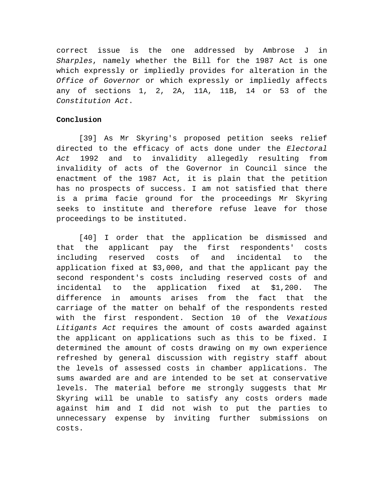correct issue is the one addressed by Ambrose J in *Sharples*, namely whether the Bill for the 1987 Act is one which expressly or impliedly provides for alteration in the *Office of Governor* or which expressly or impliedly affects any of sections 1, 2, 2A, 11A, 11B, 14 or 53 of the *Constitution Act*.

# **Conclusion**

[39] As Mr Skyring's proposed petition seeks relief directed to the efficacy of acts done under the *Electoral Act* 1992 and to invalidity allegedly resulting from invalidity of acts of the Governor in Council since the enactment of the 1987 Act, it is plain that the petition has no prospects of success. I am not satisfied that there is a prima facie ground for the proceedings Mr Skyring seeks to institute and therefore refuse leave for those proceedings to be instituted.

[40] I order that the application be dismissed and that the applicant pay the first respondents' costs including reserved costs of and incidental to the application fixed at \$3,000, and that the applicant pay the second respondent's costs including reserved costs of and incidental to the application fixed at \$1,200. The difference in amounts arises from the fact that the carriage of the matter on behalf of the respondents rested with the first respondent. Section 10 of the *Vexatious Litigants Act* requires the amount of costs awarded against the applicant on applications such as this to be fixed. I determined the amount of costs drawing on my own experience refreshed by general discussion with registry staff about the levels of assessed costs in chamber applications. The sums awarded are and are intended to be set at conservative levels. The material before me strongly suggests that Mr Skyring will be unable to satisfy any costs orders made against him and I did not wish to put the parties to unnecessary expense by inviting further submissions on costs.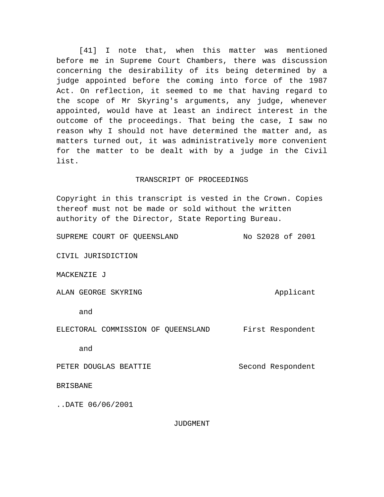[41] I note that, when this matter was mentioned before me in Supreme Court Chambers, there was discussion concerning the desirability of its being determined by a judge appointed before the coming into force of the 1987 Act. On reflection, it seemed to me that having regard to the scope of Mr Skyring's arguments, any judge, whenever appointed, would have at least an indirect interest in the outcome of the proceedings. That being the case, I saw no reason why I should not have determined the matter and, as matters turned out, it was administratively more convenient for the matter to be dealt with by a judge in the Civil list.

# TRANSCRIPT OF PROCEEDINGS

Copyright in this transcript is vested in the Crown. Copies thereof must not be made or sold without the written authority of the Director, State Reporting Bureau.

SUPREME COURT OF QUEENSLAND No S2028 of 2001

CIVIL JURISDICTION

MACKENZIE J

ALAN GEORGE SKYRING ALAN Applicant

and

ELECTORAL COMMISSION OF QUEENSLAND First Respondent

and

PETER DOUGLAS BEATTIE Second Respondent

BRISBANE

..DATE 06/06/2001

JUDGMENT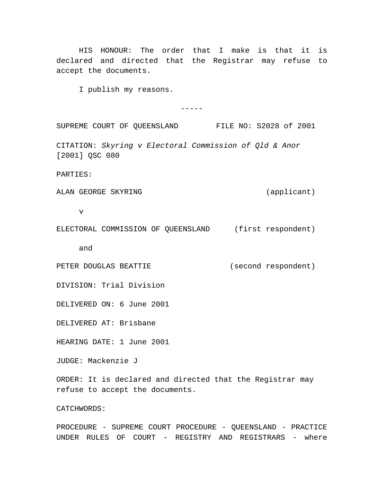HIS HONOUR: The order that I make is that it is declared and directed that the Registrar may refuse to accept the documents.

I publish my reasons.

-----

SUPREME COURT OF QUEENSLAND FILE NO: S2028 of 2001

CITATION: *Skyring v Electoral Commission of Qld & Anor* [2001] OSC 080

PARTIES:

ALAN GEORGE SKYRING (applicant)

v

ELECTORAL COMMISSION OF QUEENSLAND (first respondent)

and

PETER DOUGLAS BEATTIE (second respondent)

DIVISION: Trial Division

DELIVERED ON: 6 June 2001

DELIVERED AT: Brisbane

HEARING DATE: 1 June 2001

JUDGE: Mackenzie J

ORDER: It is declared and directed that the Registrar may refuse to accept the documents.

CATCHWORDS:

PROCEDURE - SUPREME COURT PROCEDURE - QUEENSLAND - PRACTICE UNDER RULES OF COURT - REGISTRY AND REGISTRARS - where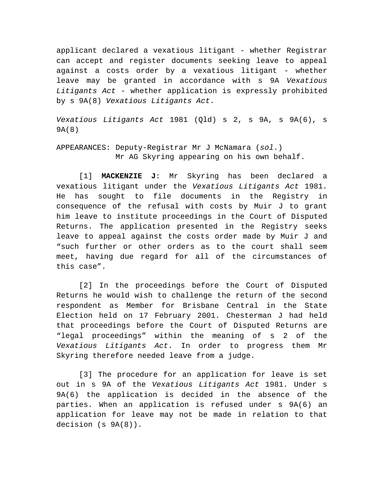applicant declared a vexatious litigant - whether Registrar can accept and register documents seeking leave to appeal against a costs order by a vexatious litigant - whether leave may be granted in accordance with s 9A *Vexatious Litigants Act* - whether application is expressly prohibited by s 9A(8) *Vexatious Litigants Act*.

*Vexatious Litigants Act* 1981 (Qld) s 2, s 9A, s 9A(6), s 9A(8)

APPEARANCES: Deputy-Registrar Mr J McNamara (*sol*.) Mr AG Skyring appearing on his own behalf.

[1] **MACKENZIE J**: Mr Skyring has been declared a vexatious litigant under the *Vexatious Litigants Act* 1981. He has sought to file documents in the Registry in consequence of the refusal with costs by Muir J to grant him leave to institute proceedings in the Court of Disputed Returns. The application presented in the Registry seeks leave to appeal against the costs order made by Muir J and "such further or other orders as to the court shall seem meet, having due regard for all of the circumstances of this case".

[2] In the proceedings before the Court of Disputed Returns he would wish to challenge the return of the second respondent as Member for Brisbane Central in the State Election held on 17 February 2001. Chesterman J had held that proceedings before the Court of Disputed Returns are "legal proceedings" within the meaning of s 2 of the *Vexatious Litigants Act*. In order to progress them Mr Skyring therefore needed leave from a judge.

[3] The procedure for an application for leave is set out in s 9A of the *Vexatious Litigants Act* 1981. Under s 9A(6) the application is decided in the absence of the parties. When an application is refused under s 9A(6) an application for leave may not be made in relation to that decision (s 9A(8)).